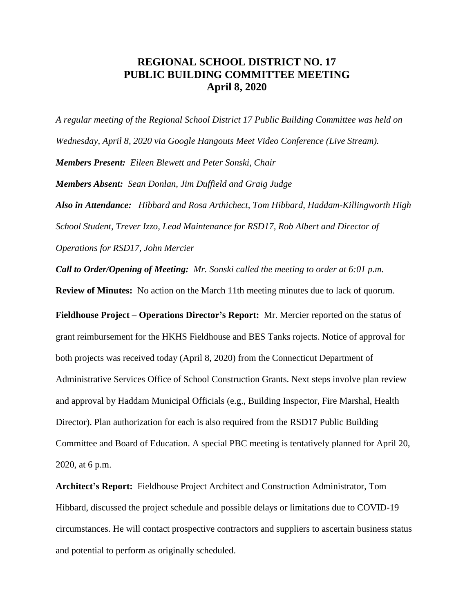## **REGIONAL SCHOOL DISTRICT NO. 17 PUBLIC BUILDING COMMITTEE MEETING April 8, 2020**

*A regular meeting of the Regional School District 17 Public Building Committee was held on Wednesday, April 8, 2020 via Google Hangouts Meet Video Conference (Live Stream). Members Present: Eileen Blewett and Peter Sonski, Chair Members Absent: Sean Donlan, Jim Duffield and Graig Judge*

*Also in Attendance: Hibbard and Rosa Arthichect, Tom Hibbard, Haddam-Killingworth High School Student, Trever Izzo, Lead Maintenance for RSD17, Rob Albert and Director of Operations for RSD17, John Mercier*

*Call to Order/Opening of Meeting: Mr. Sonski called the meeting to order at 6:01 p.m.* 

**Review of Minutes:** No action on the March 11th meeting minutes due to lack of quorum.

**Fieldhouse Project – Operations Director's Report:** Mr. Mercier reported on the status of grant reimbursement for the HKHS Fieldhouse and BES Tanks rojects. Notice of approval for both projects was received today (April 8, 2020) from the Connecticut Department of Administrative Services Office of School Construction Grants. Next steps involve plan review and approval by Haddam Municipal Officials (e.g., Building Inspector, Fire Marshal, Health Director). Plan authorization for each is also required from the RSD17 Public Building Committee and Board of Education. A special PBC meeting is tentatively planned for April 20, 2020, at 6 p.m.

**Architect's Report:** Fieldhouse Project Architect and Construction Administrator, Tom Hibbard, discussed the project schedule and possible delays or limitations due to COVID-19 circumstances. He will contact prospective contractors and suppliers to ascertain business status and potential to perform as originally scheduled.